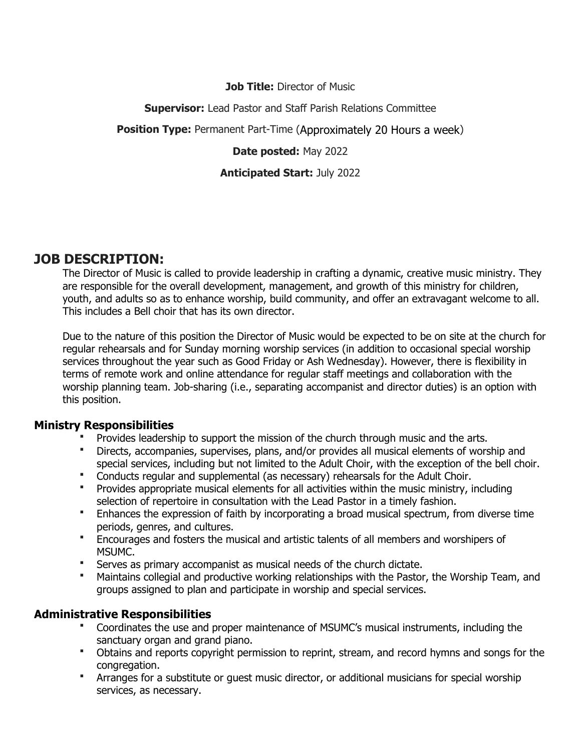## **Job Title:** Director of Music

## **Supervisor:** Lead Pastor and Staff Parish Relations Committee

**Position Type:** Permanent Part-Time (Approximately 20 Hours a week)

## **Date posted:** May 2022

## **Anticipated Start:** July 2022

# **JOB DESCRIPTION:**

The Director of Music is called to provide leadership in crafting a dynamic, creative music ministry. They are responsible for the overall development, management, and growth of this ministry for children, youth, and adults so as to enhance worship, build community, and offer an extravagant welcome to all. This includes a Bell choir that has its own director.

Due to the nature of this position the Director of Music would be expected to be on site at the church for regular rehearsals and for Sunday morning worship services (in addition to occasional special worship services throughout the year such as Good Friday or Ash Wednesday). However, there is flexibility in terms of remote work and online attendance for regular staff meetings and collaboration with the worship planning team. Job-sharing (i.e., separating accompanist and director duties) is an option with this position.

# **Ministry Responsibilities**

Provides leadership to support the mission of the church through music and the arts.

- Directs, accompanies, supervises, plans, and/or provides all musical elements of worship and special services, including but not limited to the Adult Choir, with the exception of the bell choir.
- Conducts regular and supplemental (as necessary) rehearsals for the Adult Choir.
- Provides appropriate musical elements for all activities within the music ministry, including selection of repertoire in consultation with the Lead Pastor in a timely fashion.
- Enhances the expression of faith by incorporating a broad musical spectrum, from diverse time periods, genres, and cultures.
- Encourages and fosters the musical and artistic talents of all members and worshipers of MSUMC.
- Serves as primary accompanist as musical needs of the church dictate.
- Maintains collegial and productive working relationships with the Pastor, the Worship Team, and groups assigned to plan and participate in worship and special services.

# **Administrative Responsibilities**

- Coordinates the use and proper maintenance of MSUMC's musical instruments, including the sanctuary organ and grand piano.
- Obtains and reports copyright permission to reprint, stream, and record hymns and songs for the congregation.
- Arranges for a substitute or guest music director, or additional musicians for special worship services, as necessary.